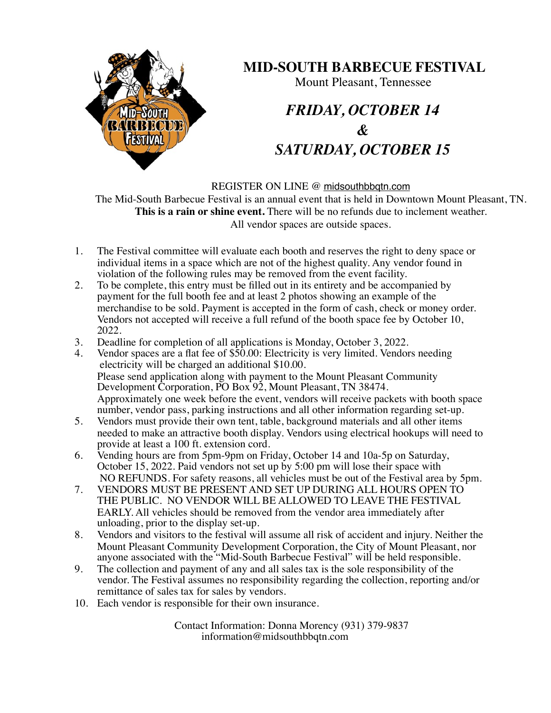

## **MID-SOUTH BARBECUE FESTIVAL**

Mount Pleasant, Tennessee

## *FRIDAY, OCTOBER 14 & SATURDAY, OCTOBER 15*

REGISTER ON LINE @ [midsouthbbqtn.com](http://midsouthbbqtn.com)

The Mid-South Barbecue Festival is an annual event that is held in Downtown Mount Pleasant, TN. **This is a rain or shine event.** There will be no refunds due to inclement weather. All vendor spaces are outside spaces.

- 1. The Festival committee will evaluate each booth and reserves the right to deny space or individual items in a space which are not of the highest quality. Any vendor found in violation of the following rules may be removed from the event facility.
- 2. To be complete, this entry must be filled out in its entirety and be accompanied by payment for the full booth fee and at least 2 photos showing an example of the merchandise to be sold. Payment is accepted in the form of cash, check or money order. Vendors not accepted will receive a full refund of the booth space fee by October 10, 2022.
- 3. Deadline for completion of all applications is Monday, October 3, 2022.<br>4. Vendor spaces are a flat fee of \$50.00: Electricity is very limited. Vendor
- Vendor spaces are a flat fee of \$50.00: Electricity is very limited. Vendors needing electricity will be charged an additional \$10.00. Please send application along with payment to the Mount Pleasant Community Development Corporation, PO Box 92, Mount Pleasant, TN 38474. Approximately one week before the event, vendors will receive packets with booth space number, vendor pass, parking instructions and all other information regarding set-up.
- 5. Vendors must provide their own tent, table, background materials and all other items needed to make an attractive booth display. Vendors using electrical hookups will need to provide at least a 100 ft. extension cord.
- 6. Vending hours are from 5pm-9pm on Friday, October 14 and 10a-5p on Saturday, October 15, 2022. Paid vendors not set up by 5:00 pm will lose their space with NO REFUNDS. For safety reasons, all vehicles must be out of the Festival area by 5pm.
- 7. VENDORS MUST BE PRESENT AND SET UP DURING ALL HOURS OPEN TO THE PUBLIC. NO VENDOR WILL BE ALLOWED TO LEAVE THE FESTIVAL EARLY. All vehicles should be removed from the vendor area immediately after unloading, prior to the display set-up.
- 8. Vendors and visitors to the festival will assume all risk of accident and injury. Neither the Mount Pleasant Community Development Corporation, the City of Mount Pleasant, nor anyone associated with the "Mid-South Barbecue Festival" will be held responsible.
- 9. The collection and payment of any and all sales tax is the sole responsibility of the vendor. The Festival assumes no responsibility regarding the collection, reporting and/or remittance of sales tax for sales by vendors.
- 10. Each vendor is responsible for their own insurance.

Contact Information: Donna Morency (931) 379-9837 information@midsouthbbqtn.com